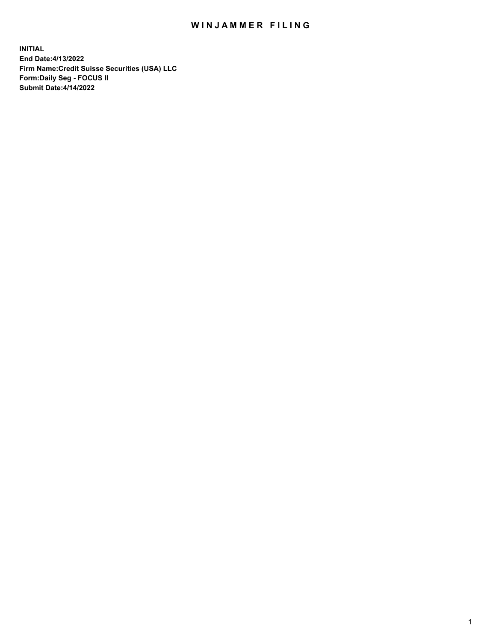# WIN JAMMER FILING

**INITIAL End Date:4/13/2022 Firm Name:Credit Suisse Securities (USA) LLC Form:Daily Seg - FOCUS II Submit Date:4/14/2022**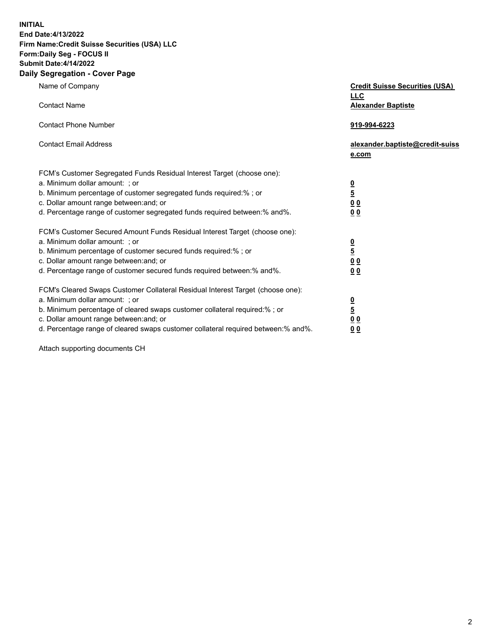**INITIAL End Date:4/13/2022** 

# **Firm Name:Credit Suisse Securities (USA) LLC Form:Daily Seg - FOCUS II Submit Date:4/14/2022**

#### **Daily Segregation - Cover Page**

| Name of Company                                                                                                                                                                                                                                                                                                                | <b>Credit Suisse Securities (USA)</b><br><b>LLC</b>                   |
|--------------------------------------------------------------------------------------------------------------------------------------------------------------------------------------------------------------------------------------------------------------------------------------------------------------------------------|-----------------------------------------------------------------------|
| <b>Contact Name</b>                                                                                                                                                                                                                                                                                                            | <b>Alexander Baptiste</b>                                             |
| <b>Contact Phone Number</b>                                                                                                                                                                                                                                                                                                    | 919-994-6223                                                          |
| <b>Contact Email Address</b>                                                                                                                                                                                                                                                                                                   | alexander.baptiste@credit-suiss<br>e.com                              |
| FCM's Customer Segregated Funds Residual Interest Target (choose one):<br>a. Minimum dollar amount: ; or<br>b. Minimum percentage of customer segregated funds required:% ; or<br>c. Dollar amount range between: and; or<br>d. Percentage range of customer segregated funds required between:% and%.                         | $\frac{\frac{0}{5}}{\frac{0}{0}}$<br>0 <sub>0</sub>                   |
| FCM's Customer Secured Amount Funds Residual Interest Target (choose one):<br>a. Minimum dollar amount: ; or<br>b. Minimum percentage of customer secured funds required:%; or<br>c. Dollar amount range between: and; or<br>d. Percentage range of customer secured funds required between:% and%.                            | $\frac{0}{5}$<br>$\underline{0}$<br>$\underline{0}$<br>0 <sub>0</sub> |
| FCM's Cleared Swaps Customer Collateral Residual Interest Target (choose one):<br>a. Minimum dollar amount: ; or<br>b. Minimum percentage of cleared swaps customer collateral required:% ; or<br>c. Dollar amount range between: and; or<br>d. Percentage range of cleared swaps customer collateral required between:% and%. | $\frac{0}{5}$<br>0 <sub>0</sub><br>0 <sub>0</sub>                     |

Attach supporting documents CH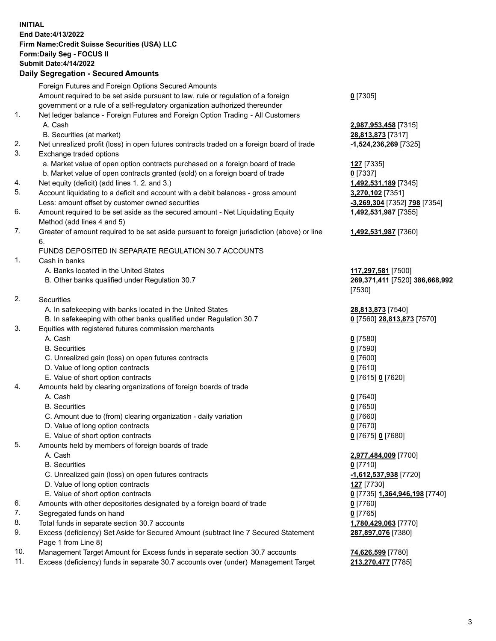## **INITIAL End Date:4/13/2022 Firm Name:Credit Suisse Securities (USA) LLC Form:Daily Seg - FOCUS II Submit Date:4/14/2022**

## **Daily Segregation - Secured Amounts**

|     | Foreign Futures and Foreign Options Secured Amounts                                         |                                |
|-----|---------------------------------------------------------------------------------------------|--------------------------------|
|     | Amount required to be set aside pursuant to law, rule or regulation of a foreign            | $0$ [7305]                     |
|     | government or a rule of a self-regulatory organization authorized thereunder                |                                |
| 1.  | Net ledger balance - Foreign Futures and Foreign Option Trading - All Customers             |                                |
|     | A. Cash                                                                                     | 2,987,953,458 [7315]           |
|     | B. Securities (at market)                                                                   | 28,813,873 [7317]              |
| 2.  | Net unrealized profit (loss) in open futures contracts traded on a foreign board of trade   | -1,524,236,269 [7325]          |
| 3.  | Exchange traded options                                                                     |                                |
|     | a. Market value of open option contracts purchased on a foreign board of trade              | 127 [7335]                     |
|     | b. Market value of open contracts granted (sold) on a foreign board of trade                | $0$ [7337]                     |
| 4.  | Net equity (deficit) (add lines 1.2. and 3.)                                                | 1,492,531,189 [7345]           |
| 5.  | Account liquidating to a deficit and account with a debit balances - gross amount           | 3,270,102 [7351]               |
|     | Less: amount offset by customer owned securities                                            | -3,269,304 [7352] 798 [7354]   |
| 6.  | Amount required to be set aside as the secured amount - Net Liquidating Equity              | 1,492,531,987 [7355]           |
|     | Method (add lines 4 and 5)                                                                  |                                |
| 7.  | Greater of amount required to be set aside pursuant to foreign jurisdiction (above) or line | 1,492,531,987 [7360]           |
|     | 6.                                                                                          |                                |
|     | FUNDS DEPOSITED IN SEPARATE REGULATION 30.7 ACCOUNTS                                        |                                |
| 1.  | Cash in banks                                                                               |                                |
|     | A. Banks located in the United States                                                       | 117,297,581 [7500]             |
|     | B. Other banks qualified under Regulation 30.7                                              | 269,371,411 [7520] 386,668,992 |
|     |                                                                                             | [7530]                         |
| 2.  | Securities                                                                                  |                                |
|     | A. In safekeeping with banks located in the United States                                   | 28,813,873 [7540]              |
|     | B. In safekeeping with other banks qualified under Regulation 30.7                          | 0 [7560] 28,813,873 [7570]     |
| 3.  | Equities with registered futures commission merchants                                       |                                |
|     | A. Cash                                                                                     | $0$ [7580]                     |
|     | <b>B.</b> Securities                                                                        | $0$ [7590]                     |
|     | C. Unrealized gain (loss) on open futures contracts                                         | $0$ [7600]                     |
|     | D. Value of long option contracts                                                           | $0$ [7610]                     |
|     | E. Value of short option contracts                                                          | 0 [7615] 0 [7620]              |
| 4.  | Amounts held by clearing organizations of foreign boards of trade                           |                                |
|     | A. Cash                                                                                     | $0$ [7640]                     |
|     | <b>B.</b> Securities                                                                        | $0$ [7650]                     |
|     | C. Amount due to (from) clearing organization - daily variation                             | $0$ [7660]                     |
|     | D. Value of long option contracts                                                           | $0$ [7670]                     |
|     | E. Value of short option contracts                                                          | 0 [7675] 0 [7680]              |
| 5.  | Amounts held by members of foreign boards of trade                                          |                                |
|     | A. Cash                                                                                     | 2,977,484,009 [7700]           |
|     | <b>B.</b> Securities                                                                        | $0$ [7710]                     |
|     | C. Unrealized gain (loss) on open futures contracts                                         | -1,612,537,938 [7720]          |
|     | D. Value of long option contracts                                                           | <b>127</b> [7730]              |
|     | E. Value of short option contracts                                                          | 0 [7735] 1,364,946,198 [7740]  |
| 6.  | Amounts with other depositories designated by a foreign board of trade                      | 0 [7760]                       |
| 7.  | Segregated funds on hand                                                                    | $0$ [7765]                     |
| 8.  | Total funds in separate section 30.7 accounts                                               | 1,780,429,063 [7770]           |
| 9.  | Excess (deficiency) Set Aside for Secured Amount (subtract line 7 Secured Statement         | 287,897,076 [7380]             |
|     | Page 1 from Line 8)                                                                         |                                |
| 10. | Management Target Amount for Excess funds in separate section 30.7 accounts                 | 74,626,599 [7780]              |
|     |                                                                                             |                                |

11. Excess (deficiency) funds in separate 30.7 accounts over (under) Management Target **213,270,477** [7785]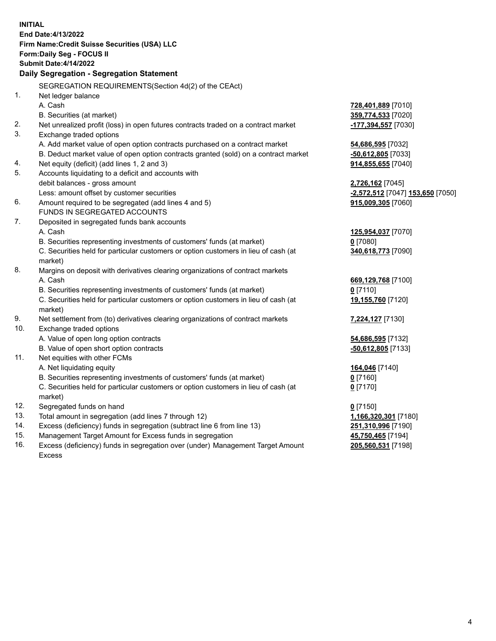**INITIAL End Date:4/13/2022 Firm Name:Credit Suisse Securities (USA) LLC Form:Daily Seg - FOCUS II Submit Date:4/14/2022 Daily Segregation - Segregation Statement** SEGREGATION REQUIREMENTS(Section 4d(2) of the CEAct) 1. Net ledger balance A. Cash **728,401,889** [7010] B. Securities (at market) **359,774,533** [7020] 2. Net unrealized profit (loss) in open futures contracts traded on a contract market **-177,394,557** [7030] 3. Exchange traded options A. Add market value of open option contracts purchased on a contract market **54,686,595** [7032] B. Deduct market value of open option contracts granted (sold) on a contract market **-50,612,805** [7033] 4. Net equity (deficit) (add lines 1, 2 and 3) **914,855,655** [7040] 5. Accounts liquidating to a deficit and accounts with debit balances - gross amount **2,726,162** [7045] Less: amount offset by customer securities **-2,572,512** [7047] **153,650** [7050] 6. Amount required to be segregated (add lines 4 and 5) **915,009,305** [7060] FUNDS IN SEGREGATED ACCOUNTS 7. Deposited in segregated funds bank accounts A. Cash **125,954,037** [7070] B. Securities representing investments of customers' funds (at market) **0** [7080] C. Securities held for particular customers or option customers in lieu of cash (at market) **340,618,773** [7090] 8. Margins on deposit with derivatives clearing organizations of contract markets A. Cash **669,129,768** [7100] B. Securities representing investments of customers' funds (at market) **0** [7110] C. Securities held for particular customers or option customers in lieu of cash (at market) **19,155,760** [7120] 9. Net settlement from (to) derivatives clearing organizations of contract markets **7,224,127** [7130] 10. Exchange traded options A. Value of open long option contracts **54,686,595** [7132] B. Value of open short option contracts **-50,612,805** [7133] 11. Net equities with other FCMs A. Net liquidating equity **164,046** [7140] B. Securities representing investments of customers' funds (at market) **0** [7160] C. Securities held for particular customers or option customers in lieu of cash (at market) **0** [7170] 12. Segregated funds on hand **0** [7150] 13. Total amount in segregation (add lines 7 through 12) **1,166,320,301** [7180] 14. Excess (deficiency) funds in segregation (subtract line 6 from line 13) **251,310,996** [7190] 15. Management Target Amount for Excess funds in segregation **45,750,465** [7194]

16. Excess (deficiency) funds in segregation over (under) Management Target Amount Excess

**205,560,531** [7198]